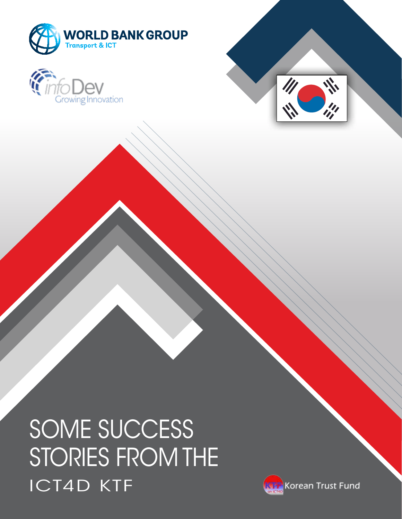





SOME SUCCESS STORIES FROM THE ICT4D KTF

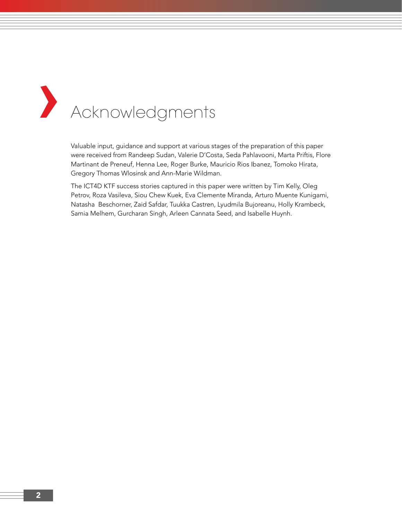# **›** Acknowledgments

Valuable input, guidance and support at various stages of the preparation of this paper were received from Randeep Sudan, Valerie D'Costa, Seda Pahlavooni, Marta Priftis, Flore Martinant de Preneuf, Henna Lee, Roger Burke, Mauricio Rios Ibanez, Tomoko Hirata, Gregory Thomas Wlosinsk and Ann-Marie Wildman.

The ICT4D KTF success stories captured in this paper were written by Tim Kelly, Oleg Petrov, Roza Vasileva, Siou Chew Kuek, Eva Clemente Miranda, Arturo Muente Kunigami, Natasha Beschorner, Zaid Safdar, Tuukka Castren, Lyudmila Bujoreanu, Holly Krambeck, Samia Melhem, Gurcharan Singh, Arleen Cannata Seed, and Isabelle Huynh.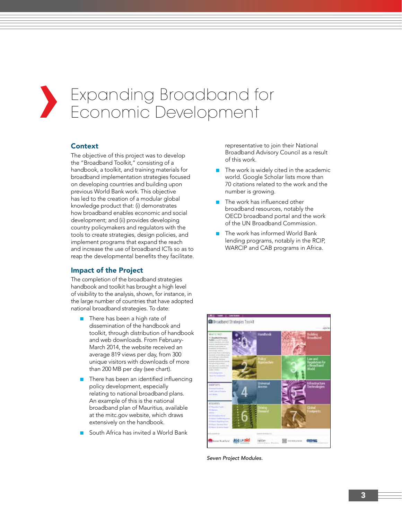# **›** Expanding Broadband for Economic Development

## **Context**

The objective of this project was to develop the "Broadband Toolkit," consisting of a handbook, a toolkit, and training materials for broadband implementation strategies focused on developing countries and building upon previous World Bank work. This objective has led to the creation of a modular global knowledge product that: (i) demonstrates how broadband enables economic and social development; and (ii) provides developing country policymakers and regulators with the tools to create strategies, design policies, and implement programs that expand the reach and increase the use of broadband ICTs so as to reap the developmental benefits they facilitate.

## Impact of the Project

The completion of the broadband strategies handbook and toolkit has brought a high level of visibility to the analysis, shown, for instance, in the large number of countries that have adopted national broadband strategies. To date:

- There has been a high rate of dissemination of the handbook and toolkit, through distribution of handbook and web downloads. From February-March 2014, the website received an average 819 views per day, from 300 unique visitors with downloads of more than 200 MB per day (see chart).
- There has been an identified influencing policy development, especially relating to national broadband plans. An example of this is the national broadband plan of Mauritius, available at the mitc.gov website, which draws extensively on the handbook.
- South Africa has invited a World Bank

representative to join their National Broadband Advisory Council as a result of this work.

- The work is widely cited in the academic world. Google Scholar lists more than 70 citations related to the work and the number is growing.
- The work has influenced other broadband resources, notably the OECD broadband portal and the work of the UN Broadband Commission.
- The work has informed World Bank lending programs, notably in the RCIP, WARCIP and CAB programs in Africa.



*Seven Project Modules.*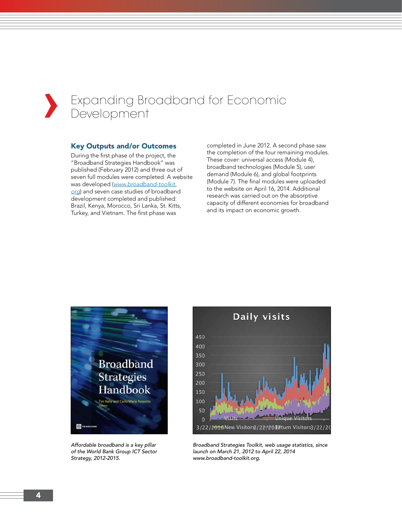## **›** Expanding Broadband for Economic Development

#### Key Outputs and/or Outcomes

During the first phase of the project, the "Broadband Strategies Handbook" was published (February 2012) and three out of seven full modules were completed. A website was developed (*www.broadband-toolkit. org*) and seven case studies of broadband development completed and published: Brazil, Kenya, Morocco, Sri Lanka, St. Kitts, Turkey, and Vietnam. The first phase was

completed in June 2012. A second phase saw the completion of the four remaining modules. These cover: universal access (Module 4), broadband technologies (Module 5), user demand (Module 6), and global footprints (Module 7). The final modules were uploaded to the website on April 16, 2014. Additional research was carried out on the absorptive capacity of different economies for broadband and its impact on economic growth.



*Affordable broadband is a key pillar of the World Bank Group ICT Sector Strategy, 2012-2015.*



*Broadband Strategies Toolkit, web usage statistics, since launch on March 21, 2012 to April 22, 2014 www.broadband-toolkit.org.*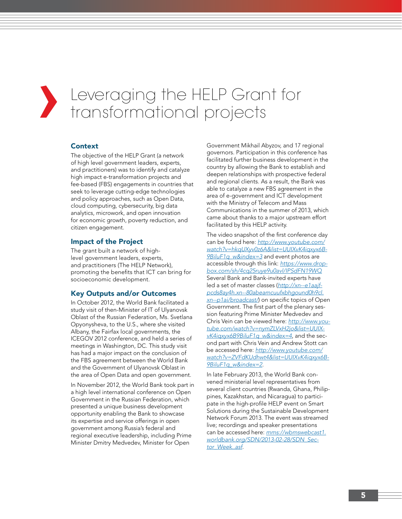# **›** Leveraging the HELP Grant for transformational projects

## Context

The objective of the HELP Grant (a network of high level government leaders, experts, and practitioners) was to identify and catalyze high impact e-transformation projects and fee-based (FBS) engagements in countries that seek to leverage cutting-edge technologies and policy approaches, such as Open Data, cloud computing, cybersecurity, big data analytics, microwork, and open innovation for economic growth, poverty reduction, and citizen engagement.

## Impact of the Project

The grant built a network of highlevel government leaders, experts, and practitioners (The HELP Network), promoting the benefits that ICT can bring for socioeconomic development.

## Key Outputs and/or Outcomes

In October 2012, the World Bank facilitated a study visit of then-Minister of IT of Ulyanovsk Oblast of the Russian Federation, Ms. Svetlana Opyonysheva, to the U.S., where she visited Albany, the Fairfax local governments, the ICEGOV 2012 conference, and held a series of meetings in Washington, DC. This study visit has had a major impact on the conclusion of the FBS agreement between the World Bank and the Government of Ulyanovsk Oblast in the area of Open Data and open government.

In November 2012, the World Bank took part in a high level international conference on Open Government in the Russian Federation, which presented a unique business development opportunity enabling the Bank to showcase its expertise and service offerings in open government among Russia's federal and regional executive leadership, including Prime Minister Dmitry Medvedev, Minister for Open

Government Mikhail Abyzov, and 17 regional governors. Participation in this conference has facilitated further business development in the country by allowing the Bank to establish and deepen relationships with prospective federal and regional clients. As a result, the Bank was able to catalyze a new FBS agreement in the area of e-government and ICT development with the Ministry of Telecom and Mass Communications in the summer of 2013, which came about thanks to a major upstream effort facilitated by this HELP activity.

The video snapshot of the first conference day can be found here: *http://www.youtube.com/ watch?v=hkqUXyv0z6A&list=UUIXvK4iqxyx6B-9BiluF1q\_w&index=3* and event photos are accessible through this link: *https://www.dropbox.com/sh/4cq25ruye9u0avl/IPSdFN19WQ* Several Bank and Bank-invited experts have led a set of master classes (*http://xn--e1aajfpcds8ay4h.xn--80abeamcuufxbhgound0h9cl. xn--p1ai/broadcast/*) on specific topics of Open Government. The first part of the plenary session featuring Prime Minister Medvedev and Chris Vein can be viewed here: *http://www.youtube.com/watch?v=nymZLVxH2jo&list=UUIXvK4iqxyx6B9BiluF1q\_w&index=4*, and the second part with Chris Vein and Andrew Stott can be accessed here: *http://www.youtube.com/ watch?v=ZVFdKUdhwt4&list=UUIXvK4iqxyx6B-9BiluF1q\_w&index=2*.

In late February 2013, the World Bank convened ministerial level representatives from several client countries (Rwanda, Ghana, Philippines, Kazakhstan, and Nicaragua) to participate in the high-profile HELP event on Smart Solutions during the Sustainable Development Network Forum 2013. The event was streamed live; recordings and speaker presentations can be accessed here: *mms://wbmswebcast1. worldbank.org/SDN/2013-02-28/SDN\_Sector\_Week..asf*.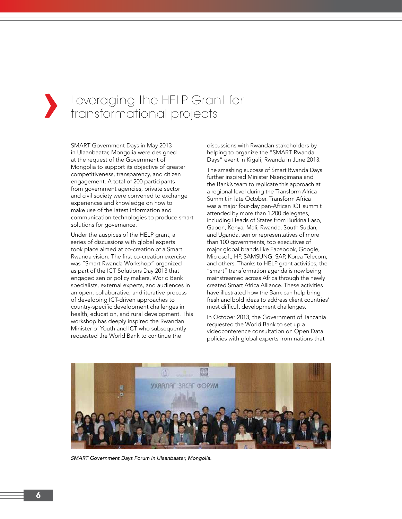## **›** Leveraging the HELP Grant for transformational projects

SMART Government Days in May 2013 in Ulaanbaatar, Mongolia were designed at the request of the Government of Mongolia to support its objective of greater competitiveness, transparency, and citizen engagement. A total of 200 participants from government agencies, private sector and civil society were convened to exchange experiences and knowledge on how to make use of the latest information and communication technologies to produce smart solutions for governance.

Under the auspices of the HELP grant, a series of discussions with global experts took place aimed at co-creation of a Smart Rwanda vision. The first co-creation exercise was "Smart Rwanda Workshop" organized as part of the ICT Solutions Day 2013 that engaged senior policy makers, World Bank specialists, external experts, and audiences in an open, collaborative, and iterative process of developing ICT-driven approaches to country-specific development challenges in health, education, and rural development. This workshop has deeply inspired the Rwandan Minister of Youth and ICT who subsequently requested the World Bank to continue the

discussions with Rwandan stakeholders by helping to organize the "SMART Rwanda Days" event in Kigali, Rwanda in June 2013.

The smashing success of Smart Rwanda Days further inspired Minister Nsengimana and the Bank's team to replicate this approach at a regional level during the Transform Africa Summit in late October. Transform Africa was a major four-day pan-African ICT summit attended by more than 1,200 delegates, including Heads of States from Burkina Faso, Gabon, Kenya, Mali, Rwanda, South Sudan, and Uganda, senior representatives of more than 100 governments, top executives of major global brands like Facebook, Google, Microsoft, HP, SAMSUNG, SAP, Korea Telecom, and others. Thanks to HELP grant activities, the "smart" transformation agenda is now being mainstreamed across Africa through the newly created Smart Africa Alliance. These activities have illustrated how the Bank can help bring fresh and bold ideas to address client countries' most difficult development challenges.

In October 2013, the Government of Tanzania requested the World Bank to set up a videoconference consultation on Open Data policies with global experts from nations that



*SMART Government Days Forum in Ulaanbaatar, Mongolia.*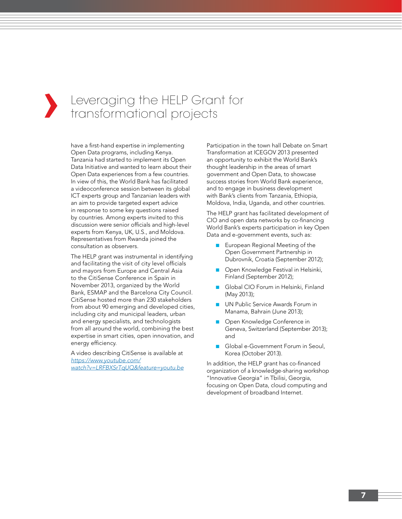## **›** Leveraging the HELP Grant for transformational projects

have a first-hand expertise in implementing Open Data programs, including Kenya. Tanzania had started to implement its Open Data Initiative and wanted to learn about their Open Data experiences from a few countries. In view of this, the World Bank has facilitated a videoconference session between its global ICT experts group and Tanzanian leaders with an aim to provide targeted expert advice in response to some key questions raised by countries. Among experts invited to this discussion were senior officials and high-level experts from Kenya, UK, U.S., and Moldova. Representatives from Rwanda joined the consultation as observers.

The HELP grant was instrumental in identifying and facilitating the visit of city level officials and mayors from Europe and Central Asia to the CitiSense Conference in Spain in November 2013, organized by the World Bank, ESMAP and the Barcelona City Council. CitiSense hosted more than 230 stakeholders from about 90 emerging and developed cities, including city and municipal leaders, urban and energy specialists, and technologists from all around the world, combining the best expertise in smart cities, open innovation, and energy efficiency.

A video describing CitiSense is available at *https://www.youtube.com/ watch?v=LRFBXSrTqUQ&feature=youtu.be* Participation in the town hall Debate on Smart Transformation at ICEGOV 2013 presented an opportunity to exhibit the World Bank's thought leadership in the areas of smart government and Open Data, to showcase success stories from World Bank experience, and to engage in business development with Bank's clients from Tanzania, Ethiopia, Moldova, India, Uganda, and other countries.

The HELP grant has facilitated development of CIO and open data networks by co-financing World Bank's experts participation in key Open Data and e-government events, such as:

- European Regional Meeting of the Open Government Partnership in Dubrovnik, Croatia (September 2012);
- Open Knowledge Festival in Helsinki, Finland (September 2012);
- Global CIO Forum in Helsinki, Finland (May 2013);
- UN Public Service Awards Forum in Manama, Bahrain (June 2013);
- Open Knowledge Conference in Geneva, Switzerland (September 2013); and
- Global e-Government Forum in Seoul, Korea (October 2013).

In addition, the HELP grant has co-financed organization of a knowledge-sharing workshop "Innovative Georgia" in Tbilisi, Georgia, focusing on Open Data, cloud computing and development of broadband Internet.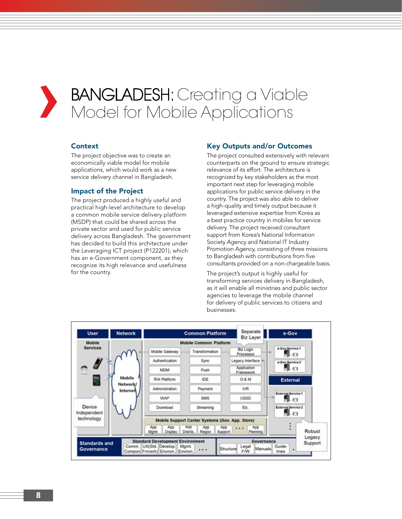## **›** BANGLADESH: Creating a Viable Model for Mobile Applications

## **Context**

The project objective was to create an economically viable model for mobile applications, which would work as a new service delivery channel in Bangladesh.

## Impact of the Project

The project produced a highly useful and practical high-level architecture to develop a common mobile service delivery platform (MSDP) that could be shared across the private sector and used for public service delivery across Bangladesh. The government has decided to build this architecture under the Leveraging ICT project (P122201), which has an e-Government component, as they recognize its high relevance and usefulness for the country.

## Key Outputs and/or Outcomes

The project consulted extensively with relevant counterparts on the ground to ensure strategic relevance of its effort. The architecture is recognized by key stakeholders as the most important next step for leveraging mobile applications for public service delivery in the country. The project was also able to deliver a high-quality and timely output because it leveraged extensive expertise from Korea as a best practice country in mobiles for service delivery. The project received consultant support from Korea's National Information Society Agency and National IT Industry Promotion Agency, consisting of three missions to Bangladesh with contributions from five consultants provided on a non-chargeable basis.

The project's output is highly useful for transforming services delivery in Bangladesh, as it will enable all ministries and public sector agencies to leverage the mobile channel for delivery of public services to citizens and businesses.

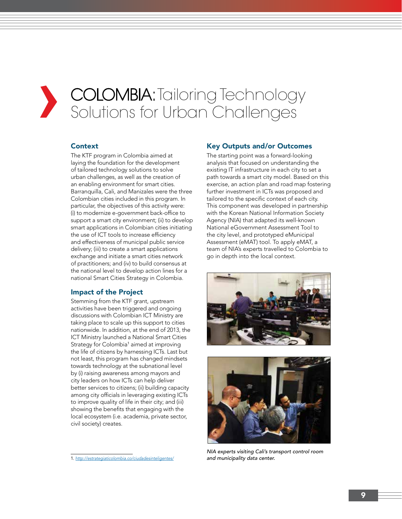# **›** COLOMBIA: Tailoring Technology<br>Solutions for Urban Challenges Solutions for Urban Challenges

## **Context**

The KTF program in Colombia aimed at laying the foundation for the development of tailored technology solutions to solve urban challenges, as well as the creation of an enabling environment for smart cities. Barranquilla, Cali, and Manizales were the three Colombian cities included in this program. In particular, the objectives of this activity were: (i) to modernize e-government back-office to support a smart city environment; (ii) to develop smart applications in Colombian cities initiating the use of ICT tools to increase efficiency and effectiveness of municipal public service delivery; (iii) to create a smart applications exchange and initiate a smart cities network of practitioners; and (iv) to build consensus at the national level to develop action lines for a national Smart Cities Strategy in Colombia.

## Impact of the Project

Stemming from the KTF grant, upstream activities have been triggered and ongoing discussions with Colombian ICT Ministry are taking place to scale up this support to cities nationwide. In addition, at the end of 2013, the ICT Ministry launched a National Smart Cities Strategy for Colombia<sup>1</sup> aimed at improving the life of citizens by harnessing ICTs. Last but not least, this program has changed mindsets towards technology at the subnational level by (i) raising awareness among mayors and city leaders on how ICTs can help deliver better services to citizens; (ii) building capacity among city officials in leveraging existing ICTs to improve quality of life in their city; and (iii) showing the benefits that engaging with the local ecosystem (i.e. academia, private sector, civil society) creates.

## Key Outputs and/or Outcomes

The starting point was a forward-looking analysis that focused on understanding the existing IT infrastructure in each city to set a path towards a smart city model. Based on this exercise, an action plan and road map fostering further investment in ICTs was proposed and tailored to the specific context of each city. This component was developed in partnership with the Korean National Information Society Agency (NIA) that adapted its well-known National eGovernment Assessment Tool to the city level, and prototyped eMunicipal Assessment (eMAT) tool. To apply eMAT, a team of NIA's experts travelled to Colombia to go in depth into the local context.





*NIA experts visiting Cali's transport control room and municipality data center.*

<sup>1.</sup> *http://estrategiaticolombia.co/ciudadesinteligentes/*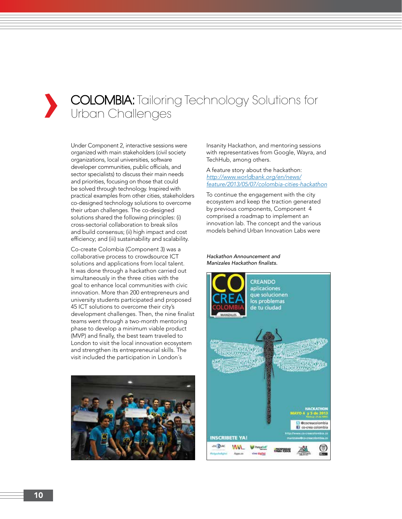## **›** COLOMBIA: Tailoring Technology Solutions for Urban Challenges

Under Component 2, interactive sessions were organized with main stakeholders (civil society organizations, local universities, software developer communities, public officials, and sector specialists) to discuss their main needs and priorities, focusing on those that could be solved through technology. Inspired with practical examples from other cities, stakeholders co-designed technology solutions to overcome their urban challenges. The co-designed solutions shared the following principles: (i) cross-sectorial collaboration to break silos and build consensus; (ii) high impact and cost efficiency; and (iii) sustainability and scalability.

Co-create Colombia (Component 3) was a collaborative process to crowdsource ICT solutions and applications from local talent. It was done through a hackathon carried out simultaneously in the three cities with the goal to enhance local communities with civic innovation. More than 200 entrepreneurs and university students participated and proposed 45 ICT solutions to overcome their city's development challenges. Then, the nine finalist teams went through a two-month mentoring phase to develop a minimum viable product (MVP) and finally, the best team traveled to London to visit the local innovation ecosystem and strengthen its entrepreneurial skills. The visit included the participation in London´s



Insanity Hackathon, and mentoring sessions with representatives from Google, Wayra, and TechHub, among others.

A feature story about the hackathon: *http://www.worldbank.org/en/news/ feature/2013/05/07/colombia-cities-hackathon*

To continue the engagement with the city ecosystem and keep the traction generated by previous components, Component 4 comprised a roadmap to implement an innovation lab. The concept and the various models behind Urban Innovation Labs were

#### *Hackathon Announcement and*  Manizales Hackathon finalists.

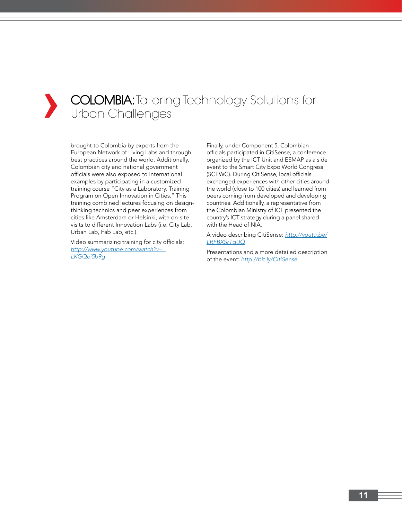## **COLOMBIA:** Tailoring Technology Solutions for Urban Challenges

brought to Colombia by experts from the European Network of Living Labs and through best practices around the world. Additionally, Colombian city and national government officials were also exposed to international examples by participating in a customized training course "City as a Laboratory. Training Program on Open Innovation in Cities." This training combined lectures focusing on designthinking technics and peer experiences from cities like Amsterdam or Helsinki, with on-site visits to different Innovation Labs (i.e. City Lab, Urban Lab, Fab Lab, etc.).

Video summarizing training for city officials: *http://www.youtube.com/watch?v=\_ LKGQei5b9g*

Finally, under Component 5, Colombian officials participated in CitiSense, a conference organized by the ICT Unit and ESMAP as a side event to the Smart City Expo World Congress (SCEWC). During CitiSense, local officials exchanged experiences with other cities around the world (close to 100 cities) and learned from peers coming from developed and developing countries. Additionally, a representative from the Colombian Ministry of ICT presented the country's ICT strategy during a panel shared with the Head of NIA.

A video describing CitiSense: *http://youtu.be/ LRFBXSrTqUQ*

Presentations and a more detailed description of the event: *http://bit.ly/CitiSense*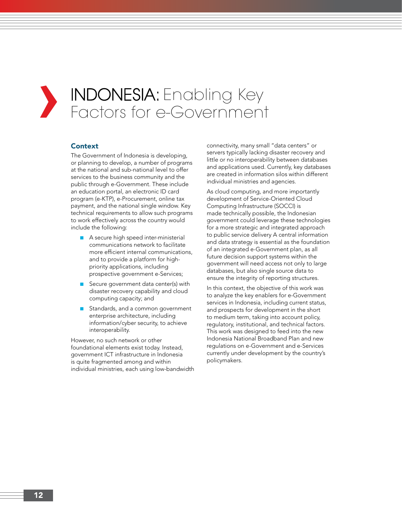## **›** INDONESIA: Enabling Key Factors for e-Government

## **Context**

The Government of Indonesia is developing, or planning to develop, a number of programs at the national and sub-national level to offer services to the business community and the public through e-Government. These include an education portal, an electronic ID card program (e-KTP), e-Procurement, online tax payment, and the national single window. Key technical requirements to allow such programs to work effectively across the country would include the following:

- A secure high speed inter-ministerial communications network to facilitate more efficient internal communications, and to provide a platform for highpriority applications, including prospective government e-Services;
- Secure government data center(s) with disaster recovery capability and cloud computing capacity; and
- Standards, and a common government enterprise architecture, including information/cyber security, to achieve interoperability.

However, no such network or other foundational elements exist today. Instead, government ICT infrastructure in Indonesia is quite fragmented among and within individual ministries, each using low-bandwidth connectivity, many small "data centers" or servers typically lacking disaster recovery and little or no interoperability between databases and applications used. Currently, key databases are created in information silos within different individual ministries and agencies.

As cloud computing, and more importantly development of Service-Oriented Cloud Computing Infrastructure (SOCCI) is made technically possible, the Indonesian government could leverage these technologies for a more strategic and integrated approach to public service delivery A central information and data strategy is essential as the foundation of an integrated e-Government plan, as all future decision support systems within the government will need access not only to large databases, but also single source data to ensure the integrity of reporting structures.

In this context, the objective of this work was to analyze the key enablers for e-Government services in Indonesia, including current status, and prospects for development in the short to medium term, taking into account policy, regulatory, institutional, and technical factors. This work was designed to feed into the new Indonesia National Broadband Plan and new regulations on e-Government and e-Services currently under development by the country's policymakers.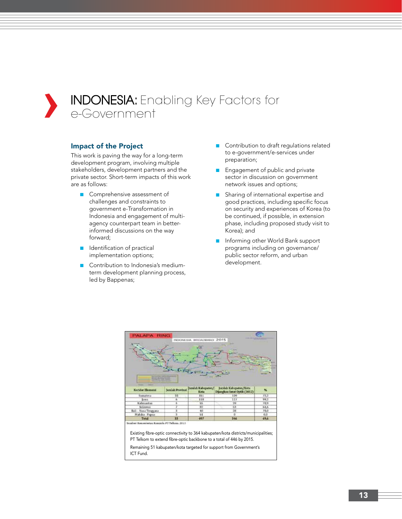

#### Impact of the Project

This work is paving the way for a long-term development program, involving multiple stakeholders, development partners and the private sector. Short-term impacts of this work are as follows:

- Comprehensive assessment of challenges and constraints to government e-Transformation in Indonesia and engagement of multiagency counterpart team in betterinformed discussions on the way forward;
- Identification of practical implementation options;
- Contribution to Indonesia's mediumterm development planning process, led by Bappenas;
- Contribution to draft regulations related to e-government/e-services under preparation;
- Engagement of public and private sector in discussion on government network issues and options;
- Sharing of international expertise and good practices, including specific focus on security and experiences of Korea (to be continued, if possible, in extension phase, including proposed study visit to Korea); and
- Informing other World Bank support programs including on governance/ public sector reform, and urban development.



Existing fibre-optic connectivity to 364 kabupaten/kota districts/municipalities; PT Telkom to extend fibre-optic backbone to a total of 446 by 2015.

Remaining 51 kabupaten/kota targeted for support from Government's ICT Fund.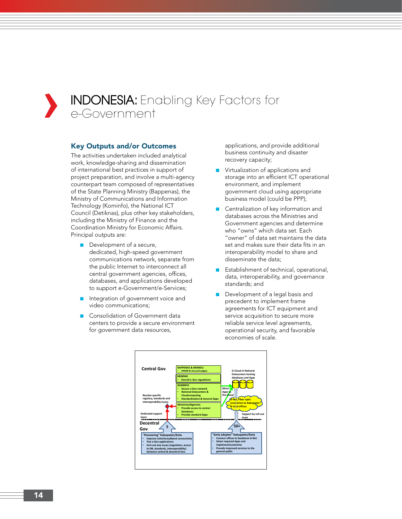

## **›** INDONESIA: Enabling Key Factors for e-Government

## Key Outputs and/or Outcomes

The activities undertaken included analytical work, knowledge-sharing and dissemination of international best practices in support of project preparation, and involve a multi-agency counterpart team composed of representatives of the State Planning Ministry (Bappenas), the Ministry of Communications and Information Technology (Kominfo), the National ICT Council (Detiknas), plus other key stakeholders, including the Ministry of Finance and the Coordination Ministry for Economic Affairs. Principal outputs are:

- Development of a secure, dedicated, high-speed government communications network, separate from the public Internet to interconnect all central government agencies, offices, databases, and applications developed to support e-Government/e-Services;
- Integration of government voice and video communications;
- Consolidation of Government data centers to provide a secure environment for government data resources,

applications, and provide additional business continuity and disaster recovery capacity;

- Virtualization of applications and storage into an efficient ICT operational environment, and implement government cloud using appropriate business model (could be PPP);
- Centralization of key information and databases across the Ministries and Government agencies and determine who "owns" which data set. Each "owner" of data set maintains the data set and makes sure their data fits in an interoperability model to share and disseminate the data;
- Establishment of technical, operational, data, interoperability, and governance standards; and
- Development of a legal basis and precedent to implement frame agreements for ICT equipment and service acquisition to secure more reliable service level agreements, operational security, and favorable economies of scale.

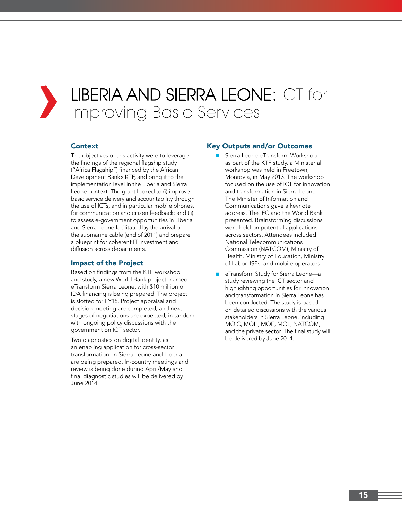## **›** LIBERIA AND SIERRA LEONE: ICT for Improving Basic Services

## **Context**

The objectives of this activity were to leverage the findings of the regional flagship study ("Africa Flagship") financed by the African Development Bank's KTF, and bring it to the implementation level in the Liberia and Sierra Leone context. The grant looked to (i) improve basic service delivery and accountability through the use of ICTs, and in particular mobile phones, for communication and citizen feedback; and (ii) to assess e-government opportunities in Liberia and Sierra Leone facilitated by the arrival of the submarine cable (end of 2011) and prepare a blueprint for coherent IT investment and diffusion across departments.

## Impact of the Project

Based on findings from the KTF workshop and study, a new World Bank project, named eTransform Sierra Leone, with \$10 million of IDA financing is being prepared. The project is slotted for FY15. Project appraisal and decision meeting are completed, and next stages of negotiations are expected, in tandem with ongoing policy discussions with the government on ICT sector.

Two diagnostics on digital identity, as an enabling application for cross-sector transformation, in Sierra Leone and Liberia are being prepared. In-country meetings and review is being done during April/May and final diagnostic studies will be delivered by June 2014.

## Key Outputs and/or Outcomes

- Sierra Leone eTransform Workshop as part of the KTF study, a Ministerial workshop was held in Freetown, Monrovia, in May 2013. The workshop focused on the use of ICT for innovation and transformation in Sierra Leone. The Minister of Information and Communications gave a keynote address. The IFC and the World Bank presented. Brainstorming discussions were held on potential applications across sectors. Attendees included National Telecommunications Commission (NATCOM), Ministry of Health, Ministry of Education, Ministry of Labor, ISPs, and mobile operators.
- eTransform Study for Sierra Leone—a study reviewing the ICT sector and highlighting opportunities for innovation and transformation in Sierra Leone has been conducted. The study is based on detailed discussions with the various stakeholders in Sierra Leone, including MOIC, MOH, MOE, MOL, NATCOM, and the private sector. The final study will be delivered by June 2014.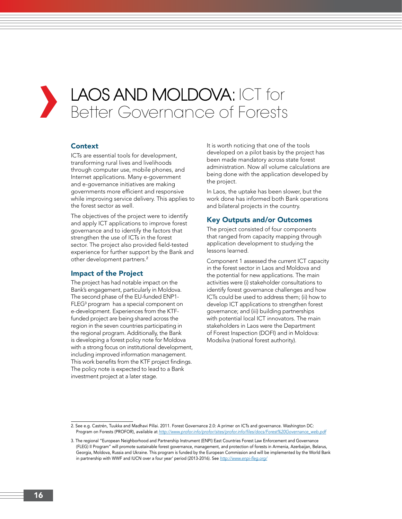## **›** LAOS AND MOLDOVA: ICT for Better Governance of Forests

## **Context**

ICTs are essential tools for development, transforming rural lives and livelihoods through computer use, mobile phones, and Internet applications. Many e-government and e-governance initiatives are making governments more efficient and responsive while improving service delivery. This applies to the forest sector as well.

The objectives of the project were to identify and apply ICT applications to improve forest governance and to identify the factors that strengthen the use of ICTs in the forest sector. The project also provided field-tested experience for further support by the Bank and other development partners.<sup>2</sup>

## Impact of the Project

The project has had notable impact on the Bank's engagement, particularly in Moldova. The second phase of the EU-funded ENP1- FLEG<sup>3</sup> program has a special component on e-development. Experiences from the KTFfunded project are being shared across the region in the seven countries participating in the regional program. Additionally, the Bank is developing a forest policy note for Moldova with a strong focus on institutional development, including improved information management. This work benefits from the KTF project findings. The policy note is expected to lead to a Bank investment project at a later stage.

It is worth noticing that one of the tools developed on a pilot basis by the project has been made mandatory across state forest administration. Now all volume calculations are being done with the application developed by the project.

In Laos, the uptake has been slower, but the work done has informed both Bank operations and bilateral projects in the country.

#### Key Outputs and/or Outcomes

The project consisted of four components that ranged from capacity mapping through application development to studying the lessons learned.

Component 1 assessed the current ICT capacity in the forest sector in Laos and Moldova and the potential for new applications. The main activities were (i) stakeholder consultations to identify forest governance challenges and how ICTs could be used to address them; (ii) how to develop ICT applications to strengthen forest governance; and (iii) building partnerships with potential local ICT innovators. The main stakeholders in Laos were the Department of Forest Inspection (DOFI) and in Moldova: Modsilva (national forest authority).

<sup>2.</sup> See e.g. Castrén, Tuukka and Madhavi Pillai. 2011. Forest Governance 2.0: A primer on ICTs and governance. Washington DC: Program on Forests (PROFOR), available at http://www.profor.info/profor/sites/profor.info/files/docs/Forest%20Governance\_web.pdf

<sup>3.</sup> The regional "European Neighborhood and Partnership Instrument (ENPI) East Countries Forest Law Enforcement and Governance (FLEG) II Program" will promote sustainable forest governance, management, and protection of forests in Armenia, Azerbaijan, Belarus, Georgia, Moldova, Russia and Ukraine. This program is funded by the European Commission and will be implemented by the World Bank in partnership with WWF and IUCN over a four year' period (2013-2016). See http://www.enpi-fleg.org/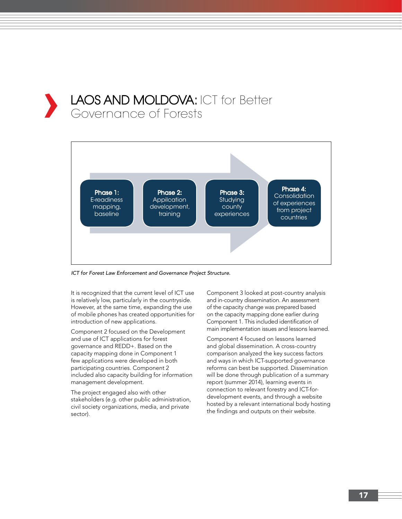## LAOS AND MOLDOVA: ICT for Better Governance of Forests



*ICT for Forest Law Enforcement and Governance Project Structure.*

It is recognized that the current level of ICT use is relatively low, particularly in the countryside. However, at the same time, expanding the use of mobile phones has created opportunities for introduction of new applications.

Component 2 focused on the Development and use of ICT applications for forest governance and REDD+. Based on the capacity mapping done in Component 1 few applications were developed in both participating countries. Component 2 included also capacity building for information management development.

The project engaged also with other stakeholders (e.g. other public administration, civil society organizations, media, and private sector).

Component 3 looked at post-country analysis and in-country dissemination. An assessment of the capacity change was prepared based on the capacity mapping done earlier during Component 1. This included identification of main implementation issues and lessons learned.

Component 4 focused on lessons learned and global dissemination. A cross-country comparison analyzed the key success factors and ways in which ICT-supported governance reforms can best be supported. Dissemination will be done through publication of a summary report (summer 2014), learning events in connection to relevant forestry and ICT-fordevelopment events, and through a website hosted by a relevant international body hosting the findings and outputs on their website.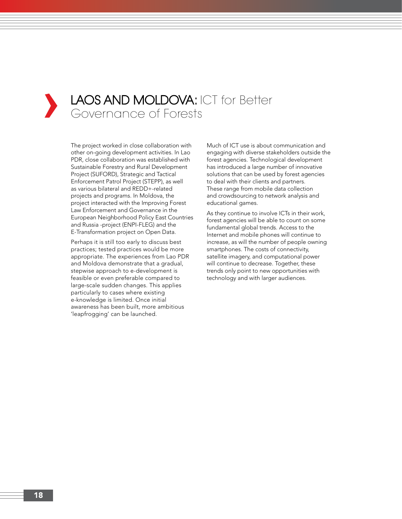## LAOS AND MOLDOVA: ICT for Better Governance of Forests

The project worked in close collaboration with other on-going development activities. In Lao PDR, close collaboration was established with Sustainable Forestry and Rural Development Project (SUFORD), Strategic and Tactical Enforcement Patrol Project (STEPP), as well as various bilateral and REDD+-related projects and programs. In Moldova, the project interacted with the Improving Forest Law Enforcement and Governance in the European Neighborhood Policy East Countries and Russia -project (ENPI-FLEG) and the E-Transformation project on Open Data.

Perhaps it is still too early to discuss best practices; tested practices would be more appropriate. The experiences from Lao PDR and Moldova demonstrate that a gradual, stepwise approach to e-development is feasible or even preferable compared to large-scale sudden changes. This applies particularly to cases where existing e-knowledge is limited. Once initial awareness has been built, more ambitious 'leapfrogging' can be launched.

Much of ICT use is about communication and engaging with diverse stakeholders outside the forest agencies. Technological development has introduced a large number of innovative solutions that can be used by forest agencies to deal with their clients and partners. These range from mobile data collection and crowdsourcing to network analysis and educational games.

As they continue to involve ICTs in their work, forest agencies will be able to count on some fundamental global trends. Access to the Internet and mobile phones will continue to increase, as will the number of people owning smartphones. The costs of connectivity, satellite imagery, and computational power will continue to decrease. Together, these trends only point to new opportunities with technology and with larger audiences.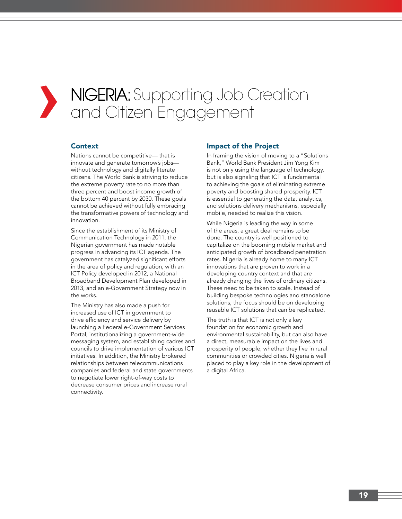## **›** NIGERIA: Supporting Job Creation and Citizen Engagement

## **Context**

Nations cannot be competitive— that is innovate and generate tomorrow's jobs without technology and digitally literate citizens. The World Bank is striving to reduce the extreme poverty rate to no more than three percent and boost income growth of the bottom 40 percent by 2030. These goals cannot be achieved without fully embracing the transformative powers of technology and innovation.

Since the establishment of its Ministry of Communication Technology in 2011, the Nigerian government has made notable progress in advancing its ICT agenda. The government has catalyzed significant efforts in the area of policy and regulation, with an ICT Policy developed in 2012, a National Broadband Development Plan developed in 2013, and an e-Government Strategy now in the works.

The Ministry has also made a push for increased use of ICT in government to drive efficiency and service delivery by launching a Federal e-Government Services Portal, institutionalizing a government-wide messaging system, and establishing cadres and councils to drive implementation of various ICT initiatives. In addition, the Ministry brokered relationships between telecommunications companies and federal and state governments to negotiate lower right-of-way costs to decrease consumer prices and increase rural connectivity.

#### Impact of the Project

In framing the vision of moving to a "Solutions Bank," World Bank President Jim Yong Kim is not only using the language of technology, but is also signaling that ICT is fundamental to achieving the goals of eliminating extreme poverty and boosting shared prosperity. ICT is essential to generating the data, analytics, and solutions delivery mechanisms, especially mobile, needed to realize this vision.

While Nigeria is leading the way in some of the areas, a great deal remains to be done. The country is well positioned to capitalize on the booming mobile market and anticipated growth of broadband penetration rates. Nigeria is already home to many ICT innovations that are proven to work in a developing country context and that are already changing the lives of ordinary citizens. These need to be taken to scale. Instead of building bespoke technologies and standalone solutions, the focus should be on developing reusable ICT solutions that can be replicated.

The truth is that ICT is not only a key foundation for economic growth and environmental sustainability, but can also have a direct, measurable impact on the lives and prosperity of people, whether they live in rural communities or crowded cities. Nigeria is well placed to play a key role in the development of a digital Africa.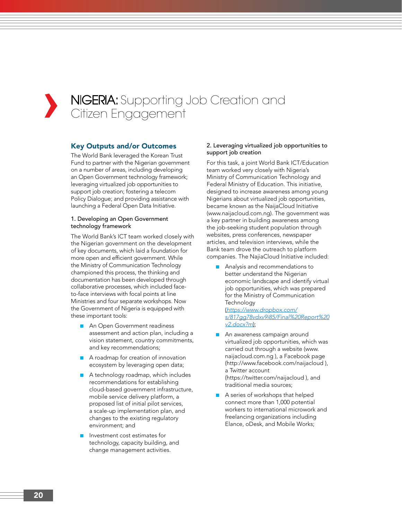## **›** NIGERIA: Supporting Job Creation and Citizen Engagement

## Key Outputs and/or Outcomes

The World Bank leveraged the Korean Trust Fund to partner with the Nigerian government on a number of areas, including developing an Open Government technology framework; leveraging virtualized job opportunities to support job creation; fostering a telecom Policy Dialogue; and providing assistance with launching a Federal Open Data Initiative.

#### 1. Developing an Open Government technology framework

The World Bank's ICT team worked closely with the Nigerian government on the development of key documents, which laid a foundation for more open and efficient government. While the Ministry of Communication Technology championed this process, the thinking and documentation has been developed through collaborative processes, which included faceto-face interviews with focal points at line Ministries and four separate workshops. Now the Government of Nigeria is equipped with these important tools:

- An Open Government readiness assessment and action plan, including a vision statement, country commitments, and key recommendations;
- A roadmap for creation of innovation ecosystem by leveraging open data;
- A technology roadmap, which includes recommendations for establishing cloud-based government infrastructure, mobile service delivery platform, a proposed list of initial pilot services, a scale-up implementation plan, and changes to the existing regulatory environment; and
- Investment cost estimates for technology, capacity building, and change management activities.

#### 2. Leveraging virtualized job opportunities to support job creation

For this task, a joint World Bank ICT/Education team worked very closely with Nigeria's Ministry of Communication Technology and Federal Ministry of Education. This initiative, designed to increase awareness among young Nigerians about virtualized job opportunities, became known as the NaijaCloud Initiative (www.naijacloud.com.ng). The government was a key partner in building awareness among the job-seeking student population through websites, press conferences, newspaper articles, and television interviews, while the Bank team drove the outreach to platform companies. The NajiaCloud Initiative included:

■ Analysis and recommendations to better understand the Nigerian economic landscape and identify virtual job opportunities, which was prepared for the Ministry of Communication **Technology** (*https://www.dropbox.com/*

*s/817gg78vdxv9i85/Final%20Report%20 v2.docx?m*);

- An awareness campaign around virtualized job opportunities, which was carried out through a website (www. naijacloud.com.ng ), a Facebook page (http://www.facebook.com/naijacloud ), a Twitter account (https://twitter.com/naijacloud ), and traditional media sources;
- A series of workshops that helped connect more than 1,000 potential workers to international microwork and freelancing organizations including Elance, oDesk, and Mobile Works;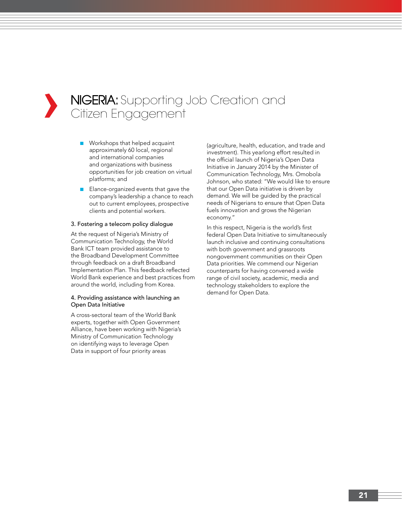## **›** NIGERIA: Supporting Job Creation and Citizen Engagement

- Workshops that helped acquaint approximately 60 local, regional and international companies and organizations with business opportunities for job creation on virtual platforms; and
- Elance-organized events that gave the company's leadership a chance to reach out to current employees, prospective clients and potential workers.

#### 3. Fostering a telecom policy dialogue

At the request of Nigeria's Ministry of Communication Technology, the World Bank ICT team provided assistance to the Broadband Development Committee through feedback on a draft Broadband Implementation Plan. This feedback reflected World Bank experience and best practices from around the world, including from Korea.

#### 4. Providing assistance with launching an Open Data Initiative

A cross-sectoral team of the World Bank experts, together with Open Government Alliance, have been working with Nigeria's Ministry of Communication Technology on identifying ways to leverage Open Data in support of four priority areas

(agriculture, health, education, and trade and investment). This yearlong effort resulted in the official launch of Nigeria's Open Data Initiative in January 2014 by the Minister of Communication Technology, Mrs. Omobola Johnson, who stated: "We would like to ensure that our Open Data initiative is driven by demand. We will be guided by the practical needs of Nigerians to ensure that Open Data fuels innovation and grows the Nigerian economy."

In this respect, Nigeria is the world's first federal Open Data Initiative to simultaneously launch inclusive and continuing consultations with both government and grassroots nongovernment communities on their Open Data priorities. We commend our Nigerian counterparts for having convened a wide range of civil society, academic, media and technology stakeholders to explore the demand for Open Data.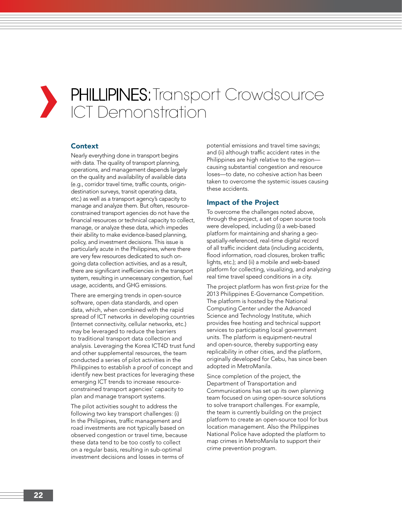# **›**

## PHILLIPINES: Transport Crowdsource ICT Demonstration

## Context

Nearly everything done in transport begins with data. The quality of transport planning, operations, and management depends largely on the quality and availability of available data (e.g., corridor travel time, traffic counts, origindestination surveys, transit operating data, etc.) as well as a transport agency's capacity to manage and analyze them. But often, resourceconstrained transport agencies do not have the financial resources or technical capacity to collect, manage, or analyze these data, which impedes their ability to make evidence-based planning, policy, and investment decisions. This issue is particularly acute in the Philippines, where there are very few resources dedicated to such ongoing data collection activities, and as a result, there are significant inefficiencies in the transport system, resulting in unnecessary congestion, fuel usage, accidents, and GHG emissions.

There are emerging trends in open-source software, open data standards, and open data, which, when combined with the rapid spread of ICT networks in developing countries (Internet connectivity, cellular networks, etc.) may be leveraged to reduce the barriers to traditional transport data collection and analysis. Leveraging the Korea ICT4D trust fund and other supplemental resources, the team conducted a series of pilot activities in the Philippines to establish a proof of concept and identify new best practices for leveraging these emerging ICT trends to increase resourceconstrained transport agencies' capacity to plan and manage transport systems.

The pilot activities sought to address the following two key transport challenges: (i) In the Philippines, traffic management and road investments are not typically based on observed congestion or travel time, because these data tend to be too costly to collect on a regular basis, resulting in sub-optimal investment decisions and losses in terms of

potential emissions and travel time savings; and (ii) although traffic accident rates in the Philippines are high relative to the region causing substantial congestion and resource loses—to date, no cohesive action has been taken to overcome the systemic issues causing these accidents.

## Impact of the Project

To overcome the challenges noted above, through the project, a set of open source tools were developed, including (i) a web-based platform for maintaining and sharing a geospatially-referenced, real-time digital record of all traffic incident data (including accidents, flood information, road closures, broken traffic lights, etc.); and (ii) a mobile and web-based platform for collecting, visualizing, and analyzing real time travel speed conditions in a city.

The project platform has won first-prize for the 2013 Philippines E-Governance Competition. The platform is hosted by the National Computing Center under the Advanced Science and Technology Institute, which provides free hosting and technical support services to participating local government units. The platform is equipment-neutral and open-source, thereby supporting easy replicability in other cities, and the platform, originally developed for Cebu, has since been adopted in MetroManila.

Since completion of the project, the Department of Transportation and Communications has set up its own planning team focused on using open-source solutions to solve transport challenges. For example, the team is currently building on the project platform to create an open-source tool for bus location management. Also the Philippines National Police have adopted the platform to map crimes in MetroManila to support their crime prevention program.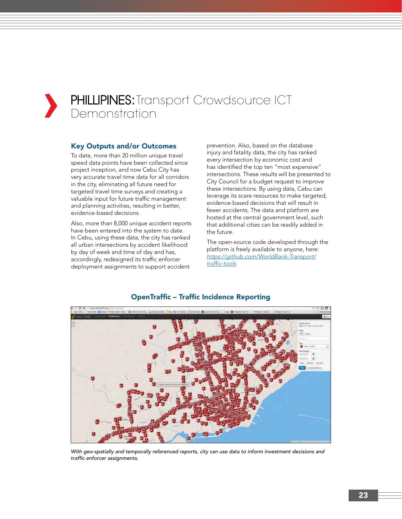## **PHILLIPINES:** Transport Crowdsource ICT Demonstration

## Key Outputs and/or Outcomes

To date, more than 20 million unique travel speed data points have been collected since project inception, and now Cebu City has very accurate travel time data for all corridors in the city, eliminating all future need for targeted travel time surveys and creating a valuable input for future traffic management and planning activities, resulting in better, evidence-based decisions.

Also, more than 8,000 unique accident reports have been entered into the system to date. In Cebu, using these data, the city has ranked all urban intersections by accident likelihood by day of week and time of day and has, accordingly, redesigned its traffic enforcer deployment assignments to support accident

prevention. Also, based on the database injury and fatality data, the city has ranked every intersection by economic cost and has identified the top ten "most expensive" intersections. These results will be presented to City Council for a budget request to improve these intersections. By using data, Cebu can leverage its scare resources to make targeted, evidence-based decisions that will result in fewer accidents. The data and platform are hosted at the central government level, such that additional cities can be readily added in the future.

The open-source code developed through the platform is freely available to anyone, here: *https://github.com/WorldBank-Transport/* traffic-tools



## OpenTraffic – Traffic Incidence Reporting

*With geo-spatially and temporally referenced reports, city can use data to inform investment decisions and*  traffic enforcer assignments.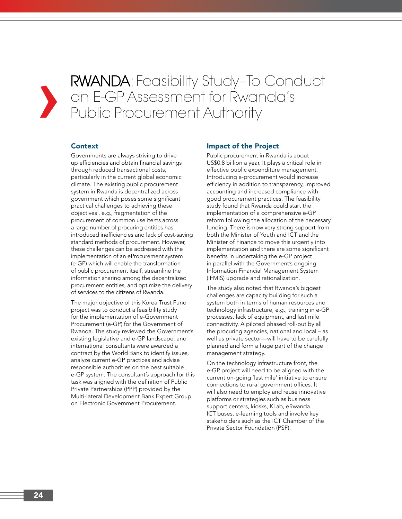**RWANDA:** Feasibility Study-To Conduct<br>an E-GP Assessment for Rwanda's<br>Public Procurement Authority an E-GP Assessment for Rwanda's Public Procurement Authority

## Context

Governments are always striving to drive up efficiencies and obtain financial savings through reduced transactional costs, particularly in the current global economic climate. The existing public procurement system in Rwanda is decentralized across government which poses some significant practical challenges to achieving these objectives , e.g., fragmentation of the procurement of common use items across a large number of procuring entities has introduced inefficiencies and lack of cost-saving standard methods of procurement. However, these challenges can be addressed with the implementation of an eProcurement system (e-GP) which will enable the transformation of public procurement itself, streamline the information sharing among the decentralized procurement entities, and optimize the delivery of services to the citizens of Rwanda.

The major objective of this Korea Trust Fund project was to conduct a feasibility study for the implementation of e-Government Procurement (e-GP) for the Government of Rwanda. The study reviewed the Government's existing legislative and e-GP landscape, and international consultants were awarded a contract by the World Bank to identify issues, analyze current e-GP practices and advise responsible authorities on the best suitable e-GP system. The consultant's approach for this task was aligned with the definition of Public Private Partnerships (PPP) provided by the Multi-lateral Development Bank Expert Group on Electronic Government Procurement.

#### Impact of the Project

Public procurement in Rwanda is about US\$0.8 billion a year. It plays a critical role in effective public expenditure management. Introducing e-procurement would increase efficiency in addition to transparency, improved accounting and increased compliance with good procurement practices. The feasibility study found that Rwanda could start the implementation of a comprehensive e-GP reform following the allocation of the necessary funding. There is now very strong support from both the Minister of Youth and ICT and the Minister of Finance to move this urgently into implementation and there are some significant benefits in undertaking the e-GP project in parallel with the Government's ongoing Information Financial Management System (IFMIS) upgrade and rationalization.

The study also noted that Rwanda's biggest challenges are capacity building for such a system both in terms of human resources and technology infrastructure, e.g., training in e-GP processes, lack of equipment, and last mile connectivity. A piloted phased roll-out by all the procuring agencies, national and local – as well as private sector—will have to be carefully planned and form a huge part of the change management strategy.

On the technology infrastructure front, the e-GP project will need to be aligned with the current on-going 'last mile' initiative to ensure connections to rural government offices. It will also need to employ and reuse innovative platforms or strategies such as business support centers, kiosks, KLab, eRwanda ICT buses, e-learning tools and involve key stakeholders such as the ICT Chamber of the Private Sector Foundation (PSF).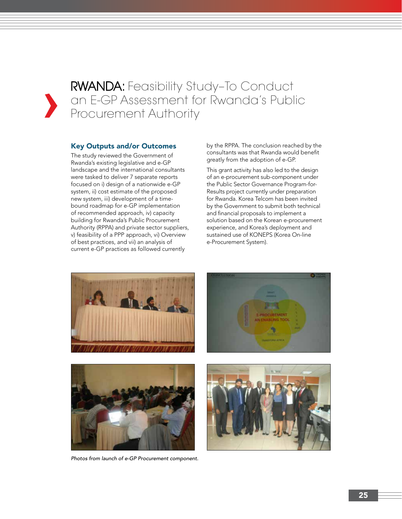RWANDA: Feasibility Study–To Conduct an E-GP Assessment for Rwanda's Public Procurement Authority

#### Key Outputs and/or Outcomes

The study reviewed the Government of Rwanda's existing legislative and e-GP landscape and the international consultants were tasked to deliver 7 separate reports focused on i) design of a nationwide e-GP system, ii) cost estimate of the proposed new system, iii) development of a timebound roadmap for e-GP implementation of recommended approach, iv) capacity building for Rwanda's Public Procurement Authority (RPPA) and private sector suppliers, v) feasibility of a PPP approach, vi) Overview of best practices, and vii) an analysis of current e-GP practices as followed currently

by the RPPA. The conclusion reached by the consultants was that Rwanda would benefit greatly from the adoption of e-GP.

This grant activity has also led to the design of an e-procurement sub-component under the Public Sector Governance Program-for-Results project currently under preparation for Rwanda. Korea Telcom has been invited by the Government to submit both technical and financial proposals to implement a solution based on the Korean e-procurement experience, and Korea's deployment and sustained use of KONEPS (Korea On-line e-Procurement System).



*Photos from launch of e-GP Procurement component.*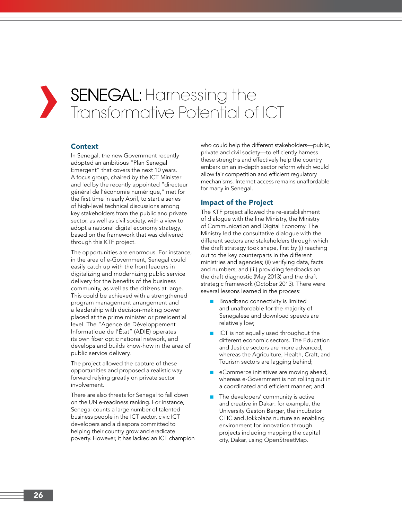## **›** SENEGAL: Harnessing the Transformative Potential of ICT

## Context

In Senegal, the new Government recently adopted an ambitious "Plan Senegal Emergent" that covers the next 10 years. A focus group, chaired by the ICT Minister and led by the recently appointed "directeur général de l'économie numérique," met for the first time in early April, to start a series of high-level technical discussions among key stakeholders from the public and private sector, as well as civil society, with a view to adopt a national digital economy strategy, based on the framework that was delivered through this KTF project.

The opportunities are enormous. For instance, in the area of e-Government, Senegal could easily catch up with the front leaders in digitalizing and modernizing public service delivery for the benefits of the business community, as well as the citizens at large. This could be achieved with a strengthened program management arrangement and a leadership with decision-making power placed at the prime minister or presidential level. The "Agence de Développement Informatique de l'État" (ADIE) operates its own fiber optic national network, and develops and builds know-how in the area of public service delivery.

The project allowed the capture of these opportunities and proposed a realistic way forward relying greatly on private sector involvement.

There are also threats for Senegal to fall down on the UN e-readiness ranking. For instance, Senegal counts a large number of talented business people in the ICT sector, civic ICT developers and a diaspora committed to helping their country grow and eradicate poverty. However, it has lacked an ICT champion who could help the different stakeholders—public, private and civil society—to efficiently harness these strengths and effectively help the country embark on an in-depth sector reform which would allow fair competition and efficient regulatory mechanisms. Internet access remains unaffordable for many in Senegal.

## Impact of the Project

The KTF project allowed the re-establishment of dialogue with the line Ministry, the Ministry of Communication and Digital Economy. The Ministry led the consultative dialogue with the different sectors and stakeholders through which the draft strategy took shape, first by (i) reaching out to the key counterparts in the different ministries and agencies; (ii) verifying data, facts and numbers; and (iii) providing feedbacks on the draft diagnostic (May 2013) and the draft strategic framework (October 2013). There were several lessons learned in the process:

- Broadband connectivity is limited and unaffordable for the majority of Senegalese and download speeds are relatively low;
- ICT is not equally used throughout the different economic sectors. The Education and Justice sectors are more advanced, whereas the Agriculture, Health, Craft, and Tourism sectors are lagging behind;
- eCommerce initiatives are moving ahead, whereas e-Government is not rolling out in a coordinated and efficient manner; and
- The developers' community is active and creative in Dakar: for example, the University Gaston Berger, the incubator CTIC and Jokkolabs nurture an enabling environment for innovation through projects including mapping the capital city, Dakar, using OpenStreetMap.